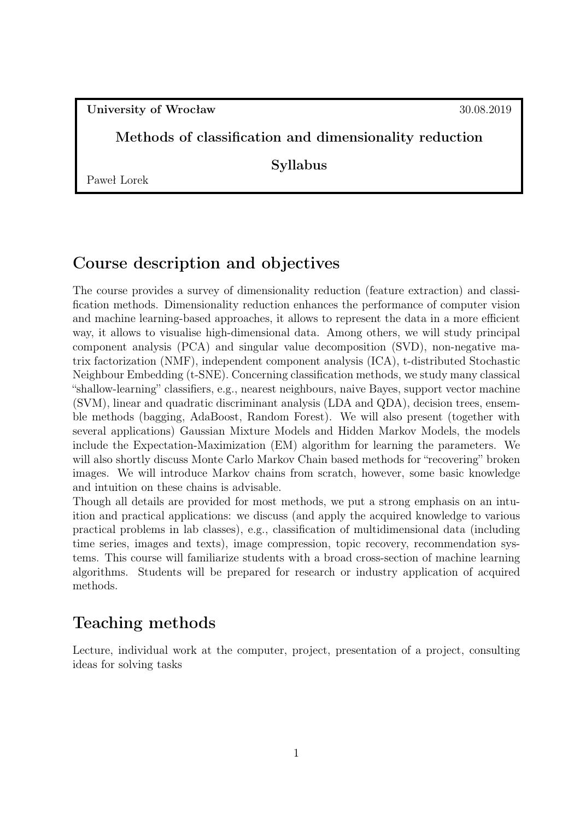University of Wrocław 30.08.2019

#### Methods of classification and dimensionality reduction

Syllabus

Paweł Lorek

### Course description and objectives

The course provides a survey of dimensionality reduction (feature extraction) and classification methods. Dimensionality reduction enhances the performance of computer vision and machine learning-based approaches, it allows to represent the data in a more efficient way, it allows to visualise high-dimensional data. Among others, we will study principal component analysis (PCA) and singular value decomposition (SVD), non-negative matrix factorization (NMF), independent component analysis (ICA), t-distributed Stochastic Neighbour Embedding (t-SNE). Concerning classification methods, we study many classical "shallow-learning" classifiers, e.g., nearest neighbours, naive Bayes, support vector machine (SVM), linear and quadratic discriminant analysis (LDA and QDA), decision trees, ensemble methods (bagging, AdaBoost, Random Forest). We will also present (together with several applications) Gaussian Mixture Models and Hidden Markov Models, the models include the Expectation-Maximization (EM) algorithm for learning the parameters. We will also shortly discuss Monte Carlo Markov Chain based methods for "recovering" broken images. We will introduce Markov chains from scratch, however, some basic knowledge and intuition on these chains is advisable.

Though all details are provided for most methods, we put a strong emphasis on an intuition and practical applications: we discuss (and apply the acquired knowledge to various practical problems in lab classes), e.g., classification of multidimensional data (including time series, images and texts), image compression, topic recovery, recommendation systems. This course will familiarize students with a broad cross-section of machine learning algorithms. Students will be prepared for research or industry application of acquired methods.

### Teaching methods

Lecture, individual work at the computer, project, presentation of a project, consulting ideas for solving tasks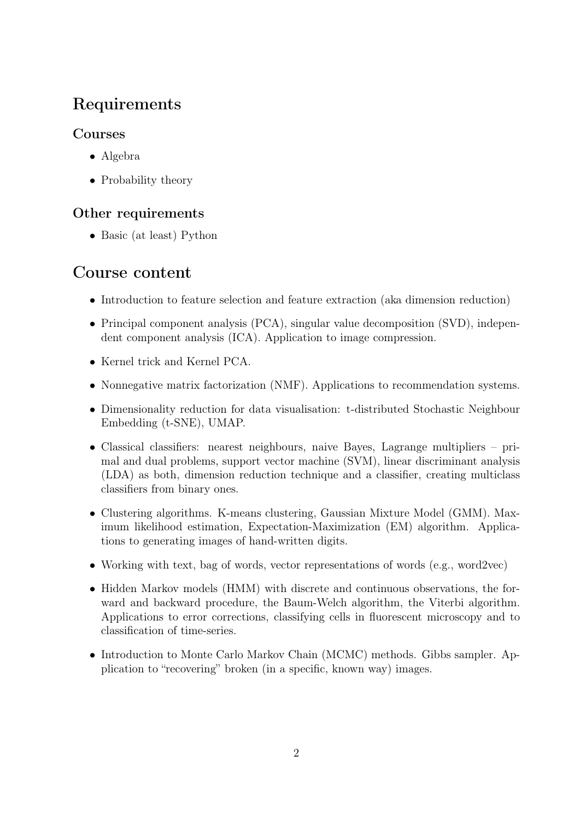## Requirements

#### Courses

- Algebra
- Probability theory

### Other requirements

• Basic (at least) Python

## Course content

- Introduction to feature selection and feature extraction (aka dimension reduction)
- Principal component analysis (PCA), singular value decomposition (SVD), independent component analysis (ICA). Application to image compression.
- Kernel trick and Kernel PCA.
- Nonnegative matrix factorization (NMF). Applications to recommendation systems.
- Dimensionality reduction for data visualisation: t-distributed Stochastic Neighbour Embedding (t-SNE), UMAP.
- Classical classifiers: nearest neighbours, naive Bayes, Lagrange multipliers primal and dual problems, support vector machine (SVM), linear discriminant analysis (LDA) as both, dimension reduction technique and a classifier, creating multiclass classifiers from binary ones.
- Clustering algorithms. K-means clustering, Gaussian Mixture Model (GMM). Maximum likelihood estimation, Expectation-Maximization (EM) algorithm. Applications to generating images of hand-written digits.
- Working with text, bag of words, vector representations of words (e.g., word2vec)
- Hidden Markov models (HMM) with discrete and continuous observations, the forward and backward procedure, the Baum-Welch algorithm, the Viterbi algorithm. Applications to error corrections, classifying cells in fluorescent microscopy and to classification of time-series.
- Introduction to Monte Carlo Markov Chain (MCMC) methods. Gibbs sampler. Application to "recovering" broken (in a specific, known way) images.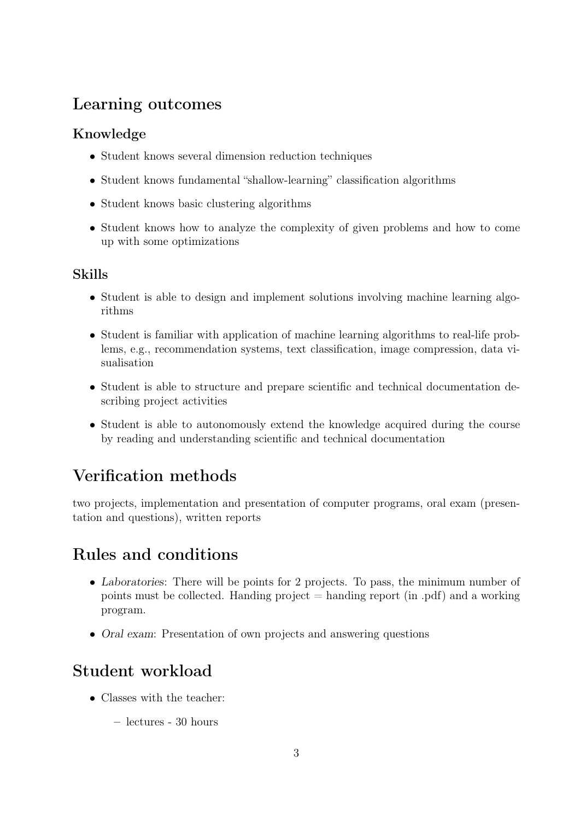## Learning outcomes

### Knowledge

- Student knows several dimension reduction techniques
- Student knows fundamental "shallow-learning" classification algorithms
- Student knows basic clustering algorithms
- Student knows how to analyze the complexity of given problems and how to come up with some optimizations

#### Skills

- Student is able to design and implement solutions involving machine learning algorithms
- Student is familiar with application of machine learning algorithms to real-life problems, e.g., recommendation systems, text classification, image compression, data visualisation
- Student is able to structure and prepare scientific and technical documentation describing project activities
- Student is able to autonomously extend the knowledge acquired during the course by reading and understanding scientific and technical documentation

# Verification methods

two projects, implementation and presentation of computer programs, oral exam (presentation and questions), written reports

## Rules and conditions

- Laboratories: There will be points for 2 projects. To pass, the minimum number of points must be collected. Handing project  $=$  handing report (in .pdf) and a working program.
- Oral exam: Presentation of own projects and answering questions

## Student workload

- Classes with the teacher:
	- lectures 30 hours